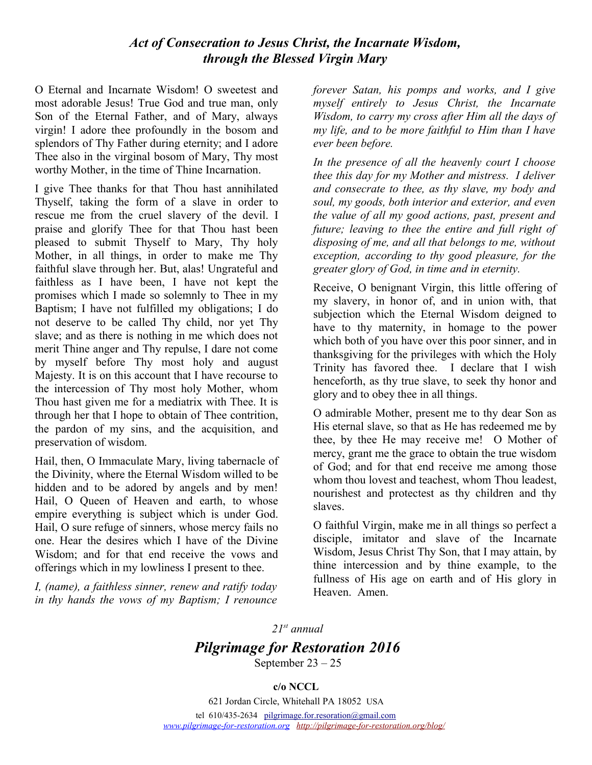## *Act of Consecration to Jesus Christ, the Incarnate Wisdom, through the Blessed Virgin Mary*

O Eternal and Incarnate Wisdom! O sweetest and most adorable Jesus! True God and true man, only Son of the Eternal Father, and of Mary, always virgin! I adore thee profoundly in the bosom and splendors of Thy Father during eternity; and I adore Thee also in the virginal bosom of Mary, Thy most worthy Mother, in the time of Thine Incarnation.

I give Thee thanks for that Thou hast annihilated Thyself, taking the form of a slave in order to rescue me from the cruel slavery of the devil. I praise and glorify Thee for that Thou hast been pleased to submit Thyself to Mary, Thy holy Mother, in all things, in order to make me Thy faithful slave through her. But, alas! Ungrateful and faithless as I have been, I have not kept the promises which I made so solemnly to Thee in my Baptism; I have not fulfilled my obligations; I do not deserve to be called Thy child, nor yet Thy slave; and as there is nothing in me which does not merit Thine anger and Thy repulse, I dare not come by myself before Thy most holy and august Majesty. It is on this account that I have recourse to the intercession of Thy most holy Mother, whom Thou hast given me for a mediatrix with Thee. It is through her that I hope to obtain of Thee contrition, the pardon of my sins, and the acquisition, and preservation of wisdom.

Hail, then, O Immaculate Mary, living tabernacle of the Divinity, where the Eternal Wisdom willed to be hidden and to be adored by angels and by men! Hail, O Queen of Heaven and earth, to whose empire everything is subject which is under God. Hail, O sure refuge of sinners, whose mercy fails no one. Hear the desires which I have of the Divine Wisdom; and for that end receive the vows and offerings which in my lowliness I present to thee.

*I, (name), a faithless sinner, renew and ratify today in thy hands the vows of my Baptism; I renounce*

*forever Satan, his pomps and works, and I give myself entirely to Jesus Christ, the Incarnate Wisdom, to carry my cross after Him all the days of my life, and to be more faithful to Him than I have ever been before.*

*In the presence of all the heavenly court I choose thee this day for my Mother and mistress. I deliver and consecrate to thee, as thy slave, my body and soul, my goods, both interior and exterior, and even the value of all my good actions, past, present and future; leaving to thee the entire and full right of disposing of me, and all that belongs to me, without exception, according to thy good pleasure, for the greater glory of God, in time and in eternity.*

Receive, O benignant Virgin, this little offering of my slavery, in honor of, and in union with, that subjection which the Eternal Wisdom deigned to have to thy maternity, in homage to the power which both of you have over this poor sinner, and in thanksgiving for the privileges with which the Holy Trinity has favored thee. I declare that I wish henceforth, as thy true slave, to seek thy honor and glory and to obey thee in all things.

O admirable Mother, present me to thy dear Son as His eternal slave, so that as He has redeemed me by thee, by thee He may receive me! O Mother of mercy, grant me the grace to obtain the true wisdom of God; and for that end receive me among those whom thou lovest and teachest, whom Thou leadest, nourishest and protectest as thy children and thy slaves.

O faithful Virgin, make me in all things so perfect a disciple, imitator and slave of the Incarnate Wisdom, Jesus Christ Thy Son, that I may attain, by thine intercession and by thine example, to the fullness of His age on earth and of His glory in Heaven. Amen.

*21st annual*

# *Pilgrimage for Restoration 2016*

September 23 – 25

**c/o NCCL**

621 Jordan Circle, Whitehall PA 18052 USA